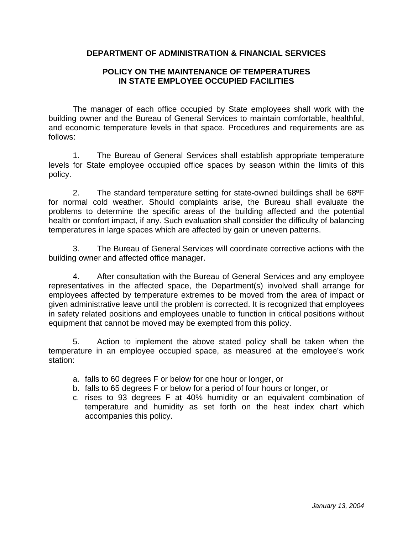## **DEPARTMENT OF ADMINISTRATION & FINANCIAL SERVICES**

## **POLICY ON THE MAINTENANCE OF TEMPERATURES IN STATE EMPLOYEE OCCUPIED FACILITIES**

The manager of each office occupied by State employees shall work with the building owner and the Bureau of General Services to maintain comfortable, healthful, and economic temperature levels in that space. Procedures and requirements are as follows:

1. The Bureau of General Services shall establish appropriate temperature levels for State employee occupied office spaces by season within the limits of this policy.

2. The standard temperature setting for state-owned buildings shall be 68ºF for normal cold weather. Should complaints arise, the Bureau shall evaluate the problems to determine the specific areas of the building affected and the potential health or comfort impact, if any. Such evaluation shall consider the difficulty of balancing temperatures in large spaces which are affected by gain or uneven patterns.

3. The Bureau of General Services will coordinate corrective actions with the building owner and affected office manager.

4. After consultation with the Bureau of General Services and any employee representatives in the affected space, the Department(s) involved shall arrange for employees affected by temperature extremes to be moved from the area of impact or given administrative leave until the problem is corrected. It is recognized that employees in safety related positions and employees unable to function in critical positions without equipment that cannot be moved may be exempted from this policy.

5. Action to implement the above stated policy shall be taken when the temperature in an employee occupied space, as measured at the employee's work station:

- a. falls to 60 degrees F or below for one hour or longer, or
- b. falls to 65 degrees F or below for a period of four hours or longer, or
- c. rises to 93 degrees F at 40% humidity or an equivalent combination of temperature and humidity as set forth on the heat index chart which accompanies this policy.